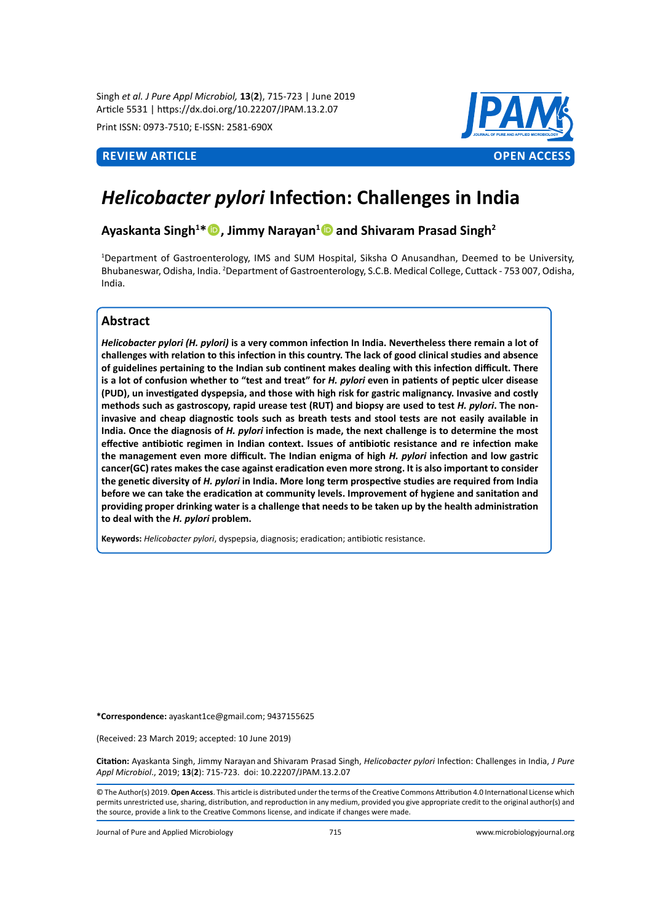Singh *et al. J Pure Appl Microbiol,* **13**(**2**), 715-723 | June 2019 Article 5531 | https://dx.doi.org/10.22207/JPAM.13.2.07

Print ISSN: 0973-7510; E-ISSN: 2581-690X



# *Helicobacter pylori* **Infection: Challenges in India**

# **Ayaskanta Singh<sup>1</sup> \*, Jimmy Narayan1 and Shivaram Prasad Singh<sup>2</sup>**

1 Department of Gastroenterology, IMS and SUM Hospital, Siksha O Anusandhan, Deemed to be University, Bhubaneswar, Odisha, India. <sup>2</sup>Department of Gastroenterology, S.C.B. Medical College, Cuttack - 753 007, Odisha, India.

# **Abstract**

*Helicobacter pylori (H. pylori)* **is a very common infection In India. Nevertheless there remain a lot of challenges with relation to this infection in this country. The lack of good clinical studies and absence of guidelines pertaining to the Indian sub continent makes dealing with this infection difficult. There is a lot of confusion whether to "test and treat" for** *H. pylori* **even in patients of peptic ulcer disease (PUD), un investigated dyspepsia, and those with high risk for gastric malignancy. Invasive and costly methods such as gastroscopy, rapid urease test (RUT) and biopsy are used to test** *H. pylori***. The noninvasive and cheap diagnostic tools such as breath tests and stool tests are not easily available in India. Once the diagnosis of** *H. pylori* **infection is made, the next challenge is to determine the most effective antibiotic regimen in Indian context. Issues of antibiotic resistance and re infection make the management even more difficult. The Indian enigma of high** *H. pylori* **infection and low gastric cancer(GC) rates makes the case against eradication even more strong. It is also important to consider the genetic diversity of** *H. pylori* **in India. More long term prospective studies are required from India before we can take the eradication at community levels. Improvement of hygiene and sanitation and providing proper drinking water is a challenge that needs to be taken up by the health administration to deal with the** *H. pylori* **problem.**

**Keywords:** *Helicobacter pylori*, dyspepsia, diagnosis; eradication; antibiotic resistance.

**\*Correspondence:** ayaskant1ce@gmail.com; 9437155625

(Received: 23 March 2019; accepted: 10 June 2019)

**Citation:** Ayaskanta Singh, Jimmy Narayan and Shivaram Prasad Singh, *Helicobacter pylori* Infection: Challenges in India, *J Pure Appl Microbiol*., 2019; **13**(**2**): 715-723. doi: 10.22207/JPAM.13.2.07

© The Author(s) 2019. **Open Access**. This article is distributed under the terms of the Creative Commons Attribution 4.0 International License which permits unrestricted use, sharing, distribution, and reproduction in any medium, provided you give appropriate credit to the original author(s) and the source, provide a link to the Creative Commons license, and indicate if changes were made.

Journal of Pure and Applied Microbiology 715 www.microbiologyjournal.org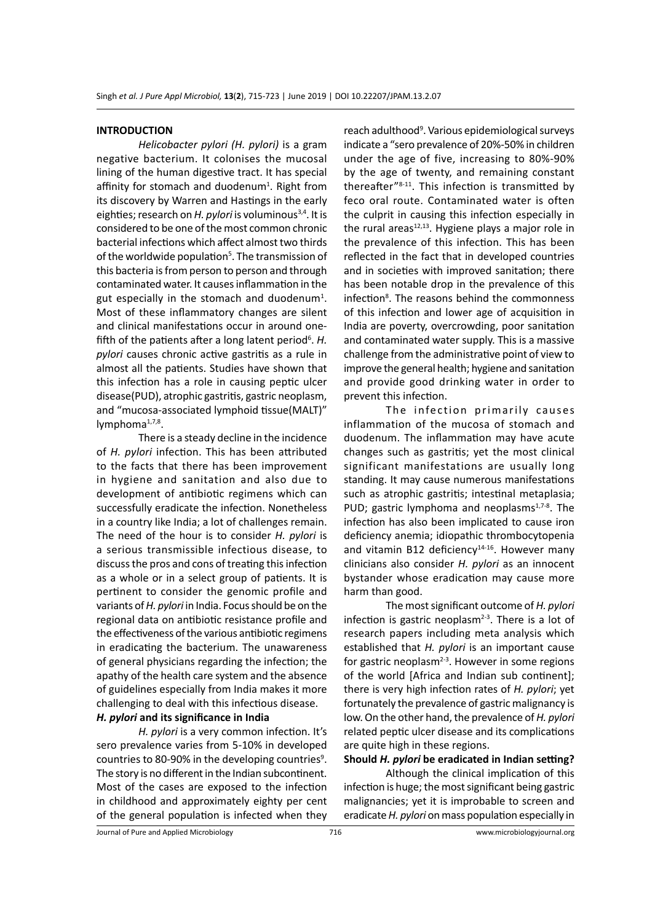#### **INTRODUCTION**

*Helicobacter pylori (H. pylori)* is a gram negative bacterium. It colonises the mucosal lining of the human digestive tract. It has special affinity for stomach and duodenum<sup>1</sup>. Right from its discovery by Warren and Hastings in the early eighties; research on *H. pylori* is voluminous<sup>3,4</sup>. It is considered to be one of the most common chronic bacterial infections which affect almost two thirds of the worldwide population<sup>5</sup>. The transmission of this bacteria is from person to person and through contaminated water. It causes inflammation in the gut especially in the stomach and duodenum<sup>1</sup>. Most of these inflammatory changes are silent and clinical manifestations occur in around onefifth of the patients after a long latent period<sup>6</sup>. H. *pylori* causes chronic active gastritis as a rule in almost all the patients. Studies have shown that this infection has a role in causing peptic ulcer disease(PUD), atrophic gastritis, gastric neoplasm, and "mucosa-associated lymphoid tissue(MALT)" lymphoma<sup>1,7,8</sup>.

There is a steady decline in the incidence of *H. pylori* infection. This has been attributed to the facts that there has been improvement in hygiene and sanitation and also due to development of antibiotic regimens which can successfully eradicate the infection. Nonetheless in a country like India; a lot of challenges remain. The need of the hour is to consider *H. pylori* is a serious transmissible infectious disease, to discuss the pros and cons of treating this infection as a whole or in a select group of patients. It is pertinent to consider the genomic profile and variants of *H. pylori* in India. Focus should be on the regional data on antibiotic resistance profile and the effectiveness of the various antibiotic regimens in eradicating the bacterium. The unawareness of general physicians regarding the infection; the apathy of the health care system and the absence of guidelines especially from India makes it more challenging to deal with this infectious disease.

*H. pylori* **and its significance in India**

*H. pylori* is a very common infection. It's sero prevalence varies from 5-10% in developed countries to 80-90% in the developing countries<sup>9</sup>. The story is no different in the Indian subcontinent. Most of the cases are exposed to the infection in childhood and approximately eighty per cent of the general population is infected when they

reach adulthood<sup>9</sup>. Various epidemiological surveys indicate a "sero prevalence of 20%-50% in children under the age of five, increasing to 80%-90% by the age of twenty, and remaining constant thereafter"8-11. This infection is transmitted by feco oral route. Contaminated water is often the culprit in causing this infection especially in the rural areas $12,13$ . Hygiene plays a major role in the prevalence of this infection. This has been reflected in the fact that in developed countries and in societies with improved sanitation; there has been notable drop in the prevalence of this infection<sup>8</sup>. The reasons behind the commonness of this infection and lower age of acquisition in India are poverty, overcrowding, poor sanitation and contaminated water supply. This is a massive challenge from the administrative point of view to improve the general health; hygiene and sanitation and provide good drinking water in order to prevent this infection.

The infection primarily causes inflammation of the mucosa of stomach and duodenum. The inflammation may have acute changes such as gastritis; yet the most clinical significant manifestations are usually long standing. It may cause numerous manifestations such as atrophic gastritis; intestinal metaplasia; PUD; gastric lymphoma and neoplasms $1.7 - 8$ . The infection has also been implicated to cause iron deficiency anemia; idiopathic thrombocytopenia and vitamin B12 deficiency $14-16$ . However many clinicians also consider *H. pylori* as an innocent bystander whose eradication may cause more harm than good.

The most significant outcome of *H. pylori* infection is gastric neoplasm<sup>2-3</sup>. There is a lot of research papers including meta analysis which established that *H. pylori* is an important cause for gastric neoplasm<sup>2-3</sup>. However in some regions of the world [Africa and Indian sub continent]; there is very high infection rates of *H. pylori*; yet fortunately the prevalence of gastric malignancy is low. On the other hand, the prevalence of *H. pylori* related peptic ulcer disease and its complications are quite high in these regions.

**Should** *H. pylori* **be eradicated in Indian setting?**

Although the clinical implication of this infection is huge; the most significant being gastric malignancies; yet it is improbable to screen and eradicate *H. pylori* on mass population especially in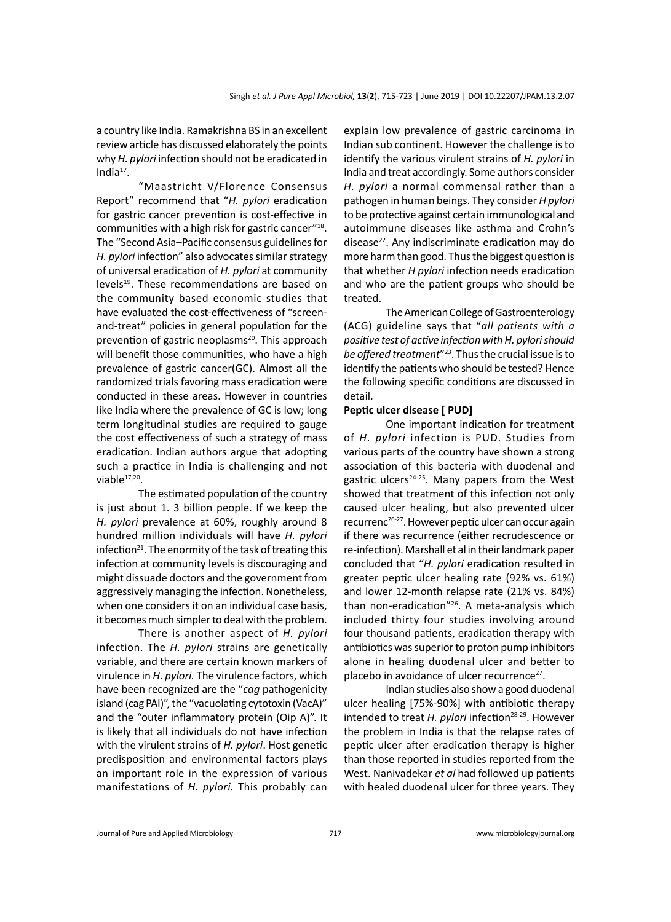a country like India. Ramakrishna BS in an excellent review article has discussed elaborately the points why *H. pylori* infection should not be eradicated in India $17$ .

"Maastricht V/Florence Consensus Report" recommend that "*H. pylori* eradication for gastric cancer prevention is cost-effective in communities with a high risk for gastric cancer"18. The "Second Asia–Pacific consensus guidelines for *H. pylori* infection" also advocates similar strategy of universal eradication of *H. pylori* at community levels<sup>19</sup>. These recommendations are based on the community based economic studies that have evaluated the cost-effectiveness of "screenand-treat" policies in general population for the prevention of gastric neoplasms<sup>20</sup>. This approach will benefit those communities, who have a high prevalence of gastric cancer(GC). Almost all the randomized trials favoring mass eradication were conducted in these areas. However in countries like India where the prevalence of GC is low; long term longitudinal studies are required to gauge the cost effectiveness of such a strategy of mass eradication. Indian authors argue that adopting such a practice in India is challenging and not viable $17,20$ .

The estimated population of the country is just about 1. 3 billion people. If we keep the *H. pylori* prevalence at 60%, roughly around 8 hundred million individuals will have *H. pylori* infection<sup>21</sup>. The enormity of the task of treating this infection at community levels is discouraging and might dissuade doctors and the government from aggressively managing the infection. Nonetheless, when one considers it on an individual case basis, it becomes much simpler to deal with the problem.

There is another aspect of *H. pylori* infection. The *H. pylori* strains are genetically variable, and there are certain known markers of virulence in *H. pylori.* The virulence factors, which have been recognized are the "*cag* pathogenicity island (cag PAI)", the "vacuolating cytotoxin (VacA)" and the "outer inflammatory protein (Oip A)". It is likely that all individuals do not have infection with the virulent strains of *H. pylori*. Host genetic predisposition and environmental factors plays an important role in the expression of various manifestations of *H. pylori.* This probably can explain low prevalence of gastric carcinoma in Indian sub continent. However the challenge is to identify the various virulent strains of *H. pylori* in India and treat accordingly. Some authors consider *H. pylori* a normal commensal rather than a pathogen in human beings. They consider *H pylori* to be protective against certain immunological and autoimmune diseases like asthma and Crohn's disease<sup>22</sup>. Any indiscriminate eradication may do more harm than good. Thus the biggest question is that whether *H pylori* infection needs eradication and who are the patient groups who should be treated.

The American College of Gastroenterology (ACG) guideline says that "*all patients with a positive test of active infection with H. pylori should be offered treatment*"23. Thus the crucial issue is to identify the patients who should be tested? Hence the following specific conditions are discussed in detail.

### **Peptic ulcer disease [ PUD]**

One important indication for treatment of *H. pylori* infection is PUD. Studies from various parts of the country have shown a strong association of this bacteria with duodenal and gastric ulcers<sup>24-25</sup>. Many papers from the West showed that treatment of this infection not only caused ulcer healing, but also prevented ulcer recurrenc26-27. However peptic ulcer can occur again if there was recurrence (either recrudescence or re-infection). Marshall et al in their landmark paper concluded that "*H. pylori* eradication resulted in greater peptic ulcer healing rate (92% vs. 61%) and lower 12-month relapse rate (21% vs. 84%) than non-eradication"<sup>26</sup>. A meta-analysis which included thirty four studies involving around four thousand patients, eradication therapy with antibiotics was superior to proton pump inhibitors alone in healing duodenal ulcer and better to placebo in avoidance of ulcer recurrence $27$ .

Indian studies also show a good duodenal ulcer healing [75%-90%] with antibiotic therapy intended to treat *H. pylori* infection<sup>28-29</sup>. However the problem in India is that the relapse rates of peptic ulcer after eradication therapy is higher than those reported in studies reported from the West. Nanivadekar *et al* had followed up patients with healed duodenal ulcer for three years. They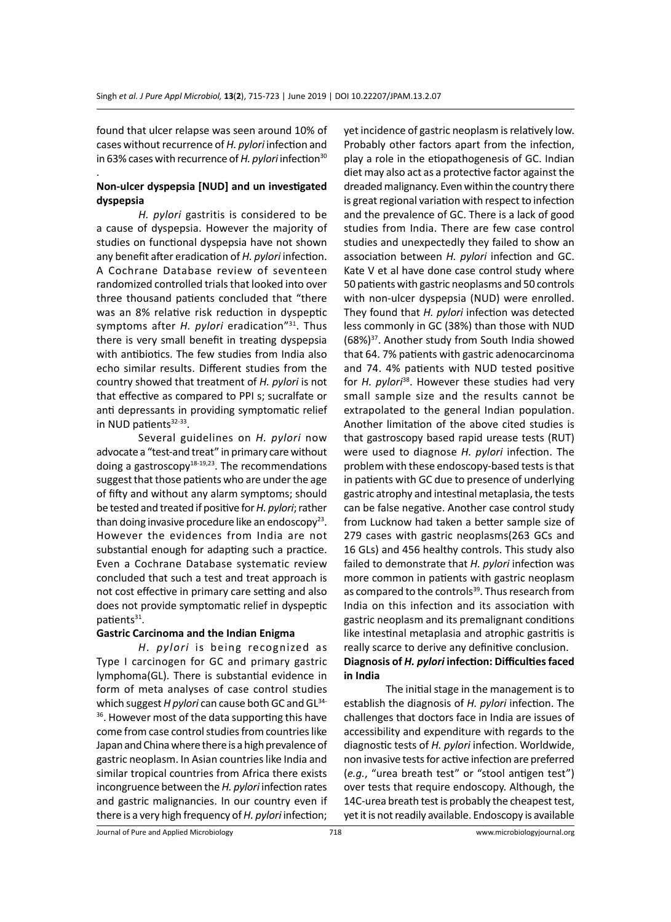found that ulcer relapse was seen around 10% of cases without recurrence of *H. pylori* infection and in 63% cases with recurrence of *H. pylori* infection<sup>30</sup>

## **Non-ulcer dyspepsia [NUD] and un investigated dyspepsia**

.

*H. pylori* gastritis is considered to be a cause of dyspepsia. However the majority of studies on functional dyspepsia have not shown any benefit after eradication of *H. pylori* infection. A Cochrane Database review of seventeen randomized controlled trials that looked into over three thousand patients concluded that "there was an 8% relative risk reduction in dyspeptic symptoms after *H. pylori* eradication<sup>"31</sup>. Thus there is very small benefit in treating dyspepsia with antibiotics. The few studies from India also echo similar results. Different studies from the country showed that treatment of *H. pylori* is not that effective as compared to PPI s; sucralfate or anti depressants in providing symptomatic relief in NUD patients $32-33$ .

Several guidelines on *H. pylori* now advocate a "test-and treat" in primary care without doing a gastroscopy $18-19,23$ . The recommendations suggest that those patients who are under the age of fifty and without any alarm symptoms; should be tested and treated if positive for *H. pylori*; rather than doing invasive procedure like an endoscopy<sup>23</sup>. However the evidences from India are not substantial enough for adapting such a practice. Even a Cochrane Database systematic review concluded that such a test and treat approach is not cost effective in primary care setting and also does not provide symptomatic relief in dyspeptic patients<sup>31</sup>.

#### **Gastric Carcinoma and the Indian Enigma**

*H. pylori* is being recognized as Type I carcinogen for GC and primary gastric lymphoma(GL). There is substantial evidence in form of meta analyses of case control studies which suggest *H pylori* can cause both GC and GL<sup>34-</sup> <sup>36</sup>. However most of the data supporting this have come from case control studies from countries like Japan and China where there is a high prevalence of gastric neoplasm. In Asian countries like India and similar tropical countries from Africa there exists incongruence between the *H. pylori* infection rates and gastric malignancies. In our country even if there is a very high frequency of *H. pylori* infection;

yet incidence of gastric neoplasm is relatively low. Probably other factors apart from the infection, play a role in the etiopathogenesis of GC. Indian diet may also act as a protective factor against the dreaded malignancy. Even within the country there is great regional variation with respect to infection and the prevalence of GC. There is a lack of good studies from India. There are few case control studies and unexpectedly they failed to show an association between *H. pylori* infection and GC. Kate V et al have done case control study where 50 patients with gastric neoplasms and 50 controls with non-ulcer dyspepsia (NUD) were enrolled. They found that *H. pylori* infection was detected less commonly in GC (38%) than those with NUD  $(68\%)^{37}$ . Another study from South India showed that 64. 7% patients with gastric adenocarcinoma and 74. 4% patients with NUD tested positive for *H. pylori*<sup>38</sup>. However these studies had very small sample size and the results cannot be extrapolated to the general Indian population. Another limitation of the above cited studies is that gastroscopy based rapid urease tests (RUT) were used to diagnose *H. pylori* infection. The problem with these endoscopy-based tests is that in patients with GC due to presence of underlying gastric atrophy and intestinal metaplasia, the tests can be false negative. Another case control study from Lucknow had taken a better sample size of 279 cases with gastric neoplasms(263 GCs and 16 GLs) and 456 healthy controls. This study also failed to demonstrate that *H. pylori* infection was more common in patients with gastric neoplasm as compared to the controls<sup>39</sup>. Thus research from India on this infection and its association with gastric neoplasm and its premalignant conditions like intestinal metaplasia and atrophic gastritis is really scarce to derive any definitive conclusion.

# **Diagnosis of** *H. pylori* **infection: Difficulties faced in India**

The initial stage in the management is to establish the diagnosis of *H. pylori* infection. The challenges that doctors face in India are issues of accessibility and expenditure with regards to the diagnostic tests of *H. pylori* infection. Worldwide, non invasive tests for active infection are preferred (*e.g.*, "urea breath test" or "stool antigen test") over tests that require endoscopy. Although, the 14C-urea breath test is probably the cheapest test, yet it is not readily available. Endoscopy is available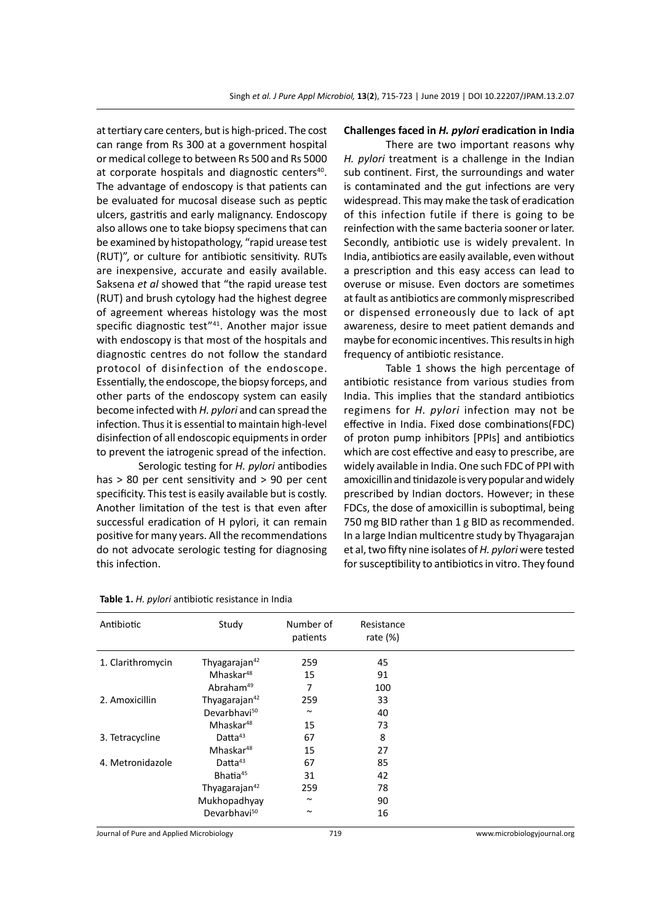at tertiary care centers, but is high-priced. The cost can range from Rs 300 at a government hospital or medical college to between Rs 500 and Rs 5000 at corporate hospitals and diagnostic centers<sup>40</sup>. The advantage of endoscopy is that patients can be evaluated for mucosal disease such as peptic ulcers, gastritis and early malignancy. Endoscopy also allows one to take biopsy specimens that can be examined by histopathology, "rapid urease test (RUT)", or culture for antibiotic sensitivity. RUTs are inexpensive, accurate and easily available. Saksena *et al* showed that "the rapid urease test (RUT) and brush cytology had the highest degree of agreement whereas histology was the most specific diagnostic test"<sup>41</sup>. Another major issue with endoscopy is that most of the hospitals and diagnostic centres do not follow the standard protocol of disinfection of the endoscope. Essentially, the endoscope, the biopsy forceps, and other parts of the endoscopy system can easily become infected with *H. pylori* and can spread the infection. Thus it is essential to maintain high-level disinfection of all endoscopic equipments in order to prevent the iatrogenic spread of the infection.

Serologic testing for *H. pylori* antibodies has > 80 per cent sensitivity and > 90 per cent specificity. This test is easily available but is costly. Another limitation of the test is that even after successful eradication of H pylori, it can remain positive for many years. All the recommendations do not advocate serologic testing for diagnosing this infection.

#### **Challenges faced in** *H. pylori* **eradication in India**

There are two important reasons why *H. pylori* treatment is a challenge in the Indian sub continent. First, the surroundings and water is contaminated and the gut infections are very widespread. This may make the task of eradication of this infection futile if there is going to be reinfection with the same bacteria sooner or later. Secondly, antibiotic use is widely prevalent. In India, antibiotics are easily available, even without a prescription and this easy access can lead to overuse or misuse. Even doctors are sometimes at fault as antibiotics are commonly misprescribed or dispensed erroneously due to lack of apt awareness, desire to meet patient demands and maybe for economic incentives. This results in high frequency of antibiotic resistance.

Table 1 shows the high percentage of antibiotic resistance from various studies from India. This implies that the standard antibiotics regimens for *H. pylori* infection may not be effective in India. Fixed dose combinations(FDC) of proton pump inhibitors [PPIs] and antibiotics which are cost effective and easy to prescribe, are widely available in India. One such FDC of PPI with amoxicillin and tinidazole is very popular and widely prescribed by Indian doctors. However; in these FDCs, the dose of amoxicillin is suboptimal, being 750 mg BID rather than 1 g BID as recommended. In a large Indian multicentre study by Thyagarajan et al, two fifty nine isolates of *H. pylori* were tested for susceptibility to antibiotics in vitro. They found

| Antibiotic        | Study                     | Number of<br>patients | Resistance<br>rate $(\%)$ |  |
|-------------------|---------------------------|-----------------------|---------------------------|--|
| 1. Clarithromycin | Thyagarajan <sup>42</sup> | 259                   | 45                        |  |
|                   | Mhaskar <sup>48</sup>     | 15                    | 91                        |  |
|                   | Abraham <sup>49</sup>     | 7                     | 100                       |  |
| 2. Amoxicillin    | Thyagarajan <sup>42</sup> | 259                   | 33                        |  |
|                   | Devarbhavi <sup>50</sup>  | $\sim$                | 40                        |  |
|                   | Mhaskar <sup>48</sup>     | 15                    | 73                        |  |
| 3. Tetracycline   | Datta <sup>43</sup>       | 67                    | 8                         |  |
|                   | Mhaskar <sup>48</sup>     | 15                    | 27                        |  |
| 4. Metronidazole  | Datta <sup>43</sup>       | 67                    | 85                        |  |
|                   | Bhatia <sup>45</sup>      | 31                    | 42                        |  |
|                   | Thyagarajan <sup>42</sup> | 259                   | 78                        |  |
|                   | Mukhopadhyay              | $\sim$                | 90                        |  |
|                   | Devarbhavi <sup>50</sup>  | $\sim$                | 16                        |  |

#### **Table 1.** *H. pylori* antibiotic resistance in India

Journal of Pure and Applied Microbiology 719 www.microbiologyjournal.org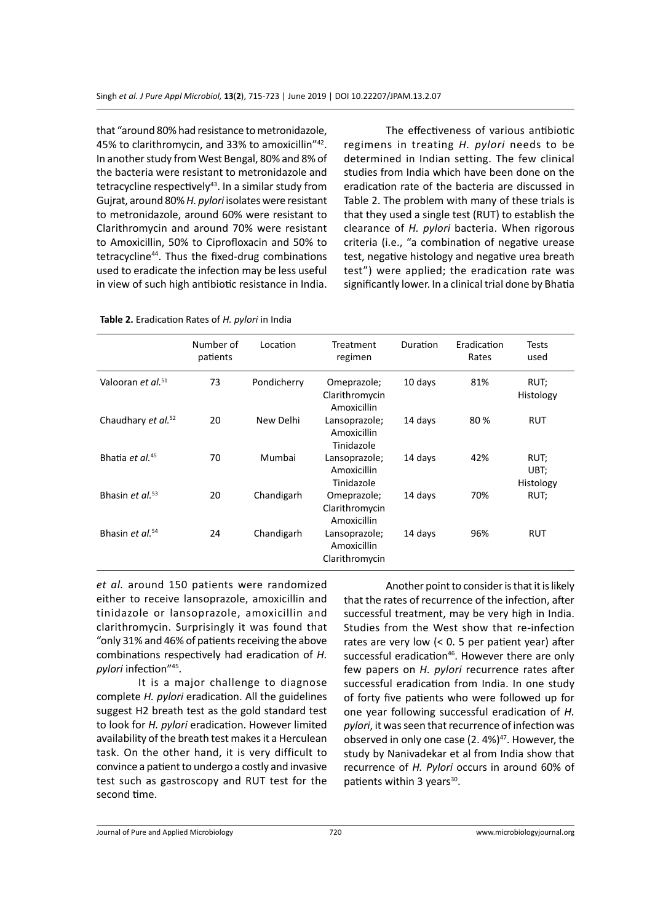that "around 80% had resistance to metronidazole, 45% to clarithromycin, and 33% to amoxicillin"42. In another study from West Bengal, 80% and 8% of the bacteria were resistant to metronidazole and tetracycline respectively $43$ . In a similar study from Gujrat, around 80% *H. pylori* isolates were resistant to metronidazole, around 60% were resistant to Clarithromycin and around 70% were resistant to Amoxicillin, 50% to Ciprofloxacin and 50% to tetracycline<sup>44</sup>. Thus the fixed-drug combinations used to eradicate the infection may be less useful in view of such high antibiotic resistance in India.

The effectiveness of various antibiotic regimens in treating *H. pylori* needs to be determined in Indian setting. The few clinical studies from India which have been done on the eradication rate of the bacteria are discussed in Table 2. The problem with many of these trials is that they used a single test (RUT) to establish the clearance of *H. pylori* bacteria. When rigorous criteria (i.e., "a combination of negative urease test, negative histology and negative urea breath test") were applied; the eradication rate was significantly lower. In a clinical trial done by Bhatia

|  | Table 2. Eradication Rates of H. pylori in India |  |  |  |
|--|--------------------------------------------------|--|--|--|
|--|--------------------------------------------------|--|--|--|

|                                | Number of<br>patients | Location    | Treatment<br>regimen                           | Duration | Eradication<br>Rates | Tests<br>used             |
|--------------------------------|-----------------------|-------------|------------------------------------------------|----------|----------------------|---------------------------|
| Valooran et al. <sup>51</sup>  | 73                    | Pondicherry | Omeprazole;<br>Clarithromycin<br>Amoxicillin   | 10 days  | 81%                  | RUT;<br>Histology         |
| Chaudhary et al. <sup>52</sup> | 20                    | New Delhi   | Lansoprazole;<br>Amoxicillin<br>Tinidazole     | 14 days  | 80%                  | <b>RUT</b>                |
| Bhatia et al. <sup>45</sup>    | 70                    | Mumbai      | Lansoprazole;<br>Amoxicillin<br>Tinidazole     | 14 days  | 42%                  | RUT;<br>UBT;<br>Histology |
| Bhasin et al. <sup>53</sup>    | 20                    | Chandigarh  | Omeprazole;<br>Clarithromycin<br>Amoxicillin   | 14 days  | 70%                  | RUT;                      |
| Bhasin et al. <sup>54</sup>    | 24                    | Chandigarh  | Lansoprazole;<br>Amoxicillin<br>Clarithromycin | 14 days  | 96%                  | RUT                       |

*et al.* around 150 patients were randomized either to receive lansoprazole, amoxicillin and tinidazole or lansoprazole, amoxicillin and clarithromycin. Surprisingly it was found that "only 31% and 46% of patients receiving the above combinations respectively had eradication of *H. pylori* infection"45.

It is a major challenge to diagnose complete *H. pylori* eradication. All the guidelines suggest H2 breath test as the gold standard test to look for *H. pylori* eradication. However limited availability of the breath test makes it a Herculean task. On the other hand, it is very difficult to convince a patient to undergo a costly and invasive test such as gastroscopy and RUT test for the second time.

Another point to consider is that it is likely that the rates of recurrence of the infection, after successful treatment, may be very high in India. Studies from the West show that re-infection rates are very low (< 0. 5 per patient year) after successful eradication<sup>46</sup>. However there are only few papers on *H. pylori* recurrence rates after successful eradication from India. In one study of forty five patients who were followed up for one year following successful eradication of *H. pylori*, it was seen that recurrence of infection was observed in only one case  $(2.4\%)^{47}$ . However, the study by Nanivadekar et al from India show that recurrence of *H. Pylori* occurs in around 60% of patients within 3 years<sup>30</sup>.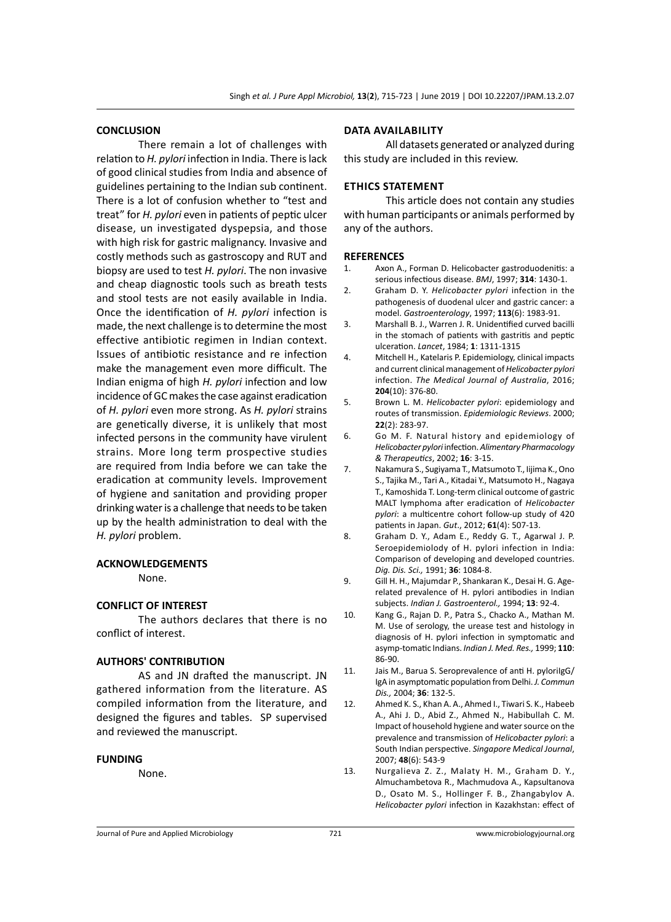#### **CONCLUSION**

There remain a lot of challenges with relation to *H. pylori* infection in India. There is lack of good clinical studies from India and absence of guidelines pertaining to the Indian sub continent. There is a lot of confusion whether to "test and treat" for *H. pylori* even in patients of peptic ulcer disease, un investigated dyspepsia, and those with high risk for gastric malignancy. Invasive and costly methods such as gastroscopy and RUT and biopsy are used to test *H. pylori*. The non invasive and cheap diagnostic tools such as breath tests and stool tests are not easily available in India. Once the identification of *H. pylori* infection is made, the next challenge is to determine the most effective antibiotic regimen in Indian context. Issues of antibiotic resistance and re infection make the management even more difficult. The Indian enigma of high *H. pylori* infection and low incidence of GC makes the case against eradication of *H. pylori* even more strong. As *H. pylori* strains are genetically diverse, it is unlikely that most infected persons in the community have virulent strains. More long term prospective studies are required from India before we can take the eradication at community levels. Improvement of hygiene and sanitation and providing proper drinking water is a challenge that needs to be taken up by the health administration to deal with the *H. pylori* problem.

# **ACKNOWLEDGEMENTS**

None.

#### **CONFLICT OF INTEREST**

The authors declares that there is no conflict of interest.

#### **AUTHORS' CONTRIBUTION**

AS and JN drafted the manuscript. JN gathered information from the literature. AS compiled information from the literature, and designed the figures and tables. SP supervised and reviewed the manuscript.

#### **FUNDING**

None.

#### **Data availability**

All datasets generated or analyzed during this study are included in this review.

### **Ethics Statement**

This article does not contain any studies with human participants or animals performed by any of the authors.

#### **REFERENCES**

- 1. Axon A., Forman D. Helicobacter gastroduodenitis: a serious infectious disease. *BMJ*, 1997; **314**: 1430-1.
- 2. Graham D. Y. *Helicobacter pylori* infection in the pathogenesis of duodenal ulcer and gastric cancer: a model. *Gastroenterology*, 1997; **113**(6): 1983-91.
- 3. Marshall B. J., Warren J. R. Unidentified curved bacilli in the stomach of patients with gastritis and peptic ulceration. *Lancet*, 1984; **1**: 1311-1315
- 4. Mitchell H., Katelaris P. Epidemiology, clinical impacts and current clinical management of *Helicobacter pylori* infection. *The Medical Journal of Australia*, 2016; **204**(10): 376-80.
- 5. Brown L. M. *Helicobacter pylori*: epidemiology and routes of transmission. *Epidemiologic Reviews*. 2000; **22**(2): 283-97.
- 6. Go M. F. Natural history and epidemiology of *Helicobacter pylori* infection. *Alimentary Pharmacology & Therapeutics*, 2002; **16**: 3-15.
- 7. Nakamura S., Sugiyama T., Matsumoto T., Iijima K., Ono S., Tajika M., Tari A., Kitadai Y., Matsumoto H., Nagaya T., Kamoshida T. Long-term clinical outcome of gastric MALT lymphoma after eradication of *Helicobacter pylori*: a multicentre cohort follow-up study of 420 patients in Japan. *Gut*., 2012; **61**(4): 507-13.
- 8. Graham D. Y., Adam E., Reddy G. T., Agarwal J. P. Seroepidemiolody of H. pylori infection in India: Comparison of developing and developed countries. *Dig. Dis. Sci.,* 1991; **36**: 1084-8.
- 9. Gill H. H., Majumdar P., Shankaran K., Desai H. G. Agerelated prevalence of H. pylori antibodies in Indian subjects. *Indian J. Gastroenterol.,* 1994; **13**: 92-4.
- 10. Kang G., Rajan D. P., Patra S., Chacko A., Mathan M. M. Use of serology, the urease test and histology in diagnosis of H. pylori infection in symptomatic and asymp-tomatic Indians. *Indian J. Med. Res.,* 1999; **110**: 86-90.
- 11. Jais M., Barua S. Seroprevalence of anti H. pylorilgG/ IgA in asymptomatic population from Delhi. *J. Commun Dis.,* 2004; **36**: 132-5.
- 12. Ahmed K. S., Khan A. A., Ahmed I., Tiwari S. K., Habeeb A., Ahi J. D., Abid Z., Ahmed N., Habibullah C. M. Impact of household hygiene and water source on the prevalence and transmission of *Helicobacter pylori*: a South Indian perspective. *Singapore Medical Journal*, 2007; **48**(6): 543-9
- 13. Nurgalieva Z. Z., Malaty H. M., Graham D. Y., Almuchambetova R., Machmudova A., Kapsultanova D., Osato M. S., Hollinger F. B., Zhangabylov A. *Helicobacter pylori* infection in Kazakhstan: effect of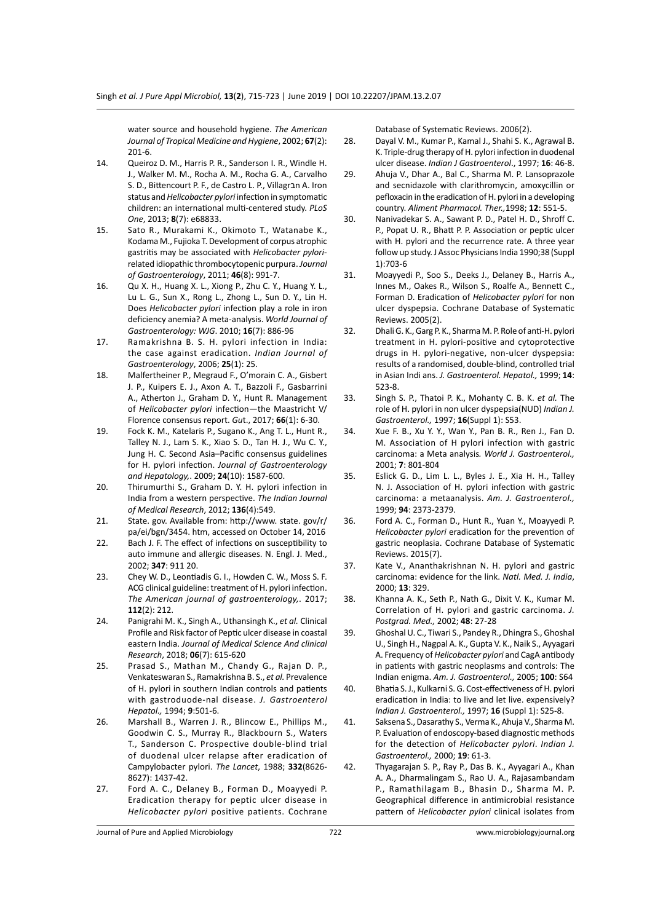water source and household hygiene. *The American Journal of Tropical Medicine and Hygiene*, 2002; **67**(2): 201-6.

- 14. Queiroz D. M., Harris P. R., Sanderson I. R., Windle H. J., Walker M. M., Rocha A. M., Rocha G. A., Carvalho S. D., Bittencourt P. F., de Castro L. P., Villagran A. Iron status and *Helicobacter pylori* infection in symptomatic children: an international multi-centered study. *PLoS One*, 2013; **8**(7): e68833.
- 15. Sato R., Murakami K., Okimoto T., Watanabe K., Kodama M., Fujioka T. Development of corpus atrophic gastritis may be associated with *Helicobacter pylori*related idiopathic thrombocytopenic purpura. *Journal of Gastroenterology*, 2011; **46**(8): 991-7.
- 16. Qu X. H., Huang X. L., Xiong P., Zhu C. Y., Huang Y. L., Lu L. G., Sun X., Rong L., Zhong L., Sun D. Y., Lin H. Does *Helicobacter pylori* infection play a role in iron deficiency anemia? A meta-analysis. *World Journal of Gastroenterology: WJG*. 2010; **16**(7): 886-96
- 17. Ramakrishna B. S. H. pylori infection in India: the case against eradication. *Indian Journal of Gastroenterology*, 2006; **25**(1): 25.
- 18. Malfertheiner P., Megraud F., O'morain C. A., Gisbert J. P., Kuipers E. J., Axon A. T., Bazzoli F., Gasbarrini A., Atherton J., Graham D. Y., Hunt R. Management of *Helicobacter pylori* infection—the Maastricht V/ Florence consensus report. *Gu*t., 2017; **66**(1): 6-30.
- 19. Fock K. M., Katelaris P., Sugano K., Ang T. L., Hunt R., Talley N. J., Lam S. K., Xiao S. D., Tan H. J., Wu C. Y., Jung H. C. Second Asia–Pacific consensus guidelines for H. pylori infection. *Journal of Gastroenterology and Hepatology,*. 2009; **24**(10): 1587-600.
- 20. Thirumurthi S., Graham D. Y. H. pylori infection in India from a western perspective. *The Indian Journal of Medical Research*, 2012; **136**(4):549.
- 21. State. gov. Available from: http://www. state. gov/r/ pa/ei/bgn/3454. htm, accessed on October 14, 2016
- 22. Bach J. F. The effect of infections on susceptibility to auto immune and allergic diseases. N. Engl. J. Med., 2002; **347**: 911 20.
- 23. Chey W. D., Leontiadis G. I., Howden C. W., Moss S. F. ACG clinical guideline: treatment of H. pylori infection. *The American journal of gastroenterology,*. 2017; **112**(2): 212.
- 24. Panigrahi M. K., Singh A., Uthansingh K., *et al.* Clinical Profile and Risk factor of Peptic ulcer disease in coastal eastern India. *Journal of Medical Science And clinical Research*, 2018; **06**(7): 615-620
- 25. Prasad S., Mathan M., Chandy G., Rajan D. P., Venkateswaran S., Ramakrishna B. S., *et al.* Prevalence of H. pylori in southern Indian controls and patients with gastroduode-nal disease. *J. Gastroenterol Hepatol.,* 1994; **9**:501-6.
- 26. Marshall B., Warren J. R., Blincow E., Phillips M., Goodwin C. S., Murray R., Blackbourn S., Waters T., Sanderson C. Prospective double-blind trial of duodenal ulcer relapse after eradication of Campylobacter pylori. *The Lancet*, 1988; **332**(8626- 8627): 1437-42.
- 27. Ford A. C., Delaney B., Forman D., Moayyedi P. Eradication therapy for peptic ulcer disease in *Helicobacter pylori* positive patients. Cochrane

Database of Systematic Reviews. 2006(2).

- 28. Dayal V. M., Kumar P., Kamal J., Shahi S. K., Agrawal B. K. Triple-drug therapy of H. pylori infection in duodenal ulcer disease. *Indian J Gastroenterol*., 1997; **16**: 46-8.
- 29. Ahuja V., Dhar A., Bal C., Sharma M. P. Lansoprazole and secnidazole with clarithromycin, amoxycillin or pefloxacin in the eradication of H. pylori in a developing country. *Aliment Pharmacol. Ther.,*1998; **12**: 551-5.
- 30. Nanivadekar S. A., Sawant P. D., Patel H. D., Shroff C. P., Popat U. R., Bhatt P. P. Association or peptic ulcer with H. pylori and the recurrence rate. A three year follow up study. J Assoc Physicians India 1990;38 (Suppl 1):703-6
- 31. Moayyedi P., Soo S., Deeks J., Delaney B., Harris A., Innes M., Oakes R., Wilson S., Roalfe A., Bennett C., Forman D. Eradication of *Helicobacter pylori* for non ulcer dyspepsia. Cochrane Database of Systematic Reviews. 2005(2).
- 32. Dhali G. K., Garg P. K., Sharma M. P. Role of anti-H. pylori treatment in H. pylori-positive and cytoprotective drugs in H. pylori-negative, non-ulcer dyspepsia: results of a randomised, double-blind, controlled trial in Asian Indi ans. *J. Gastroenterol. Hepatol.,* 1999; **14**: 523-8.
- 33. Singh S. P., Thatoi P. K., Mohanty C. B. K. *et al.* The role of H. pylori in non ulcer dyspepsia(NUD) *Indian J. Gastroenterol.,* 1997; **16**(Suppl 1): S53.
- 34. Xue F. B., Xu Y. Y., Wan Y., Pan B. R., Ren J., Fan D. M. Association of H pylori infection with gastric carcinoma: a Meta analysis*. World J. Gastroenterol.,* 2001; **7**: 801-804
- 35. Eslick G. D., Lim L. L., Byles J. E., Xia H. H., Talley N. J. Association of H. pylori infection with gastric carcinoma: a metaanalysis. *Am. J. Gastroenterol.,* 1999; **94**: 2373-2379.
- 36. Ford A. C., Forman D., Hunt R., Yuan Y., Moayyedi P. *Helicobacter pylori* eradication for the prevention of gastric neoplasia. Cochrane Database of Systematic Reviews. 2015(7).
- 37. Kate V., Ananthakrishnan N. H. pylori and gastric carcinoma: evidence for the link. *Natl. Med. J. India*, 2000; **13**: 329.
- 38. Khanna A. K., Seth P., Nath G., Dixit V. K., Kumar M. Correlation of H. pylori and gastric carcinoma. *J. Postgrad. Med.,* 2002; **48**: 27-28
- 39. Ghoshal U. C., Tiwari S., Pandey R., Dhingra S., Ghoshal U., Singh H., Nagpal A. K., Gupta V. K., Naik S., Ayyagari A. Frequency of *Helicobacter pylori* and CagA antibody in patients with gastric neoplasms and controls: The Indian enigma. *Am. J. Gastroenterol.,* 2005; **100**: S64
- 40. Bhatia S. J., Kulkarni S. G. Cost-effectiveness of H. pylori eradication in India: to live and let live. expensively? *Indian J. Gastroenterol.,* 1997; **16** (Suppl 1): S25-8.
- 41. Saksena S., Dasarathy S., Verma K., Ahuja V., Sharma M. P. Evaluation of endoscopy-based diagnostic methods for the detection of *Helicobacter pylori*. *Indian J. Gastroenterol.,* 2000; **19**: 61-3.
- 42. Thyagarajan S. P., Ray P., Das B. K., Ayyagari A., Khan A. A., Dharmalingam S., Rao U. A., Rajasambandam P., Ramathilagam B., Bhasin D., Sharma M. P. Geographical difference in antimicrobial resistance pattern of *Helicobacter pylori* clinical isolates from

Journal of Pure and Applied Microbiology